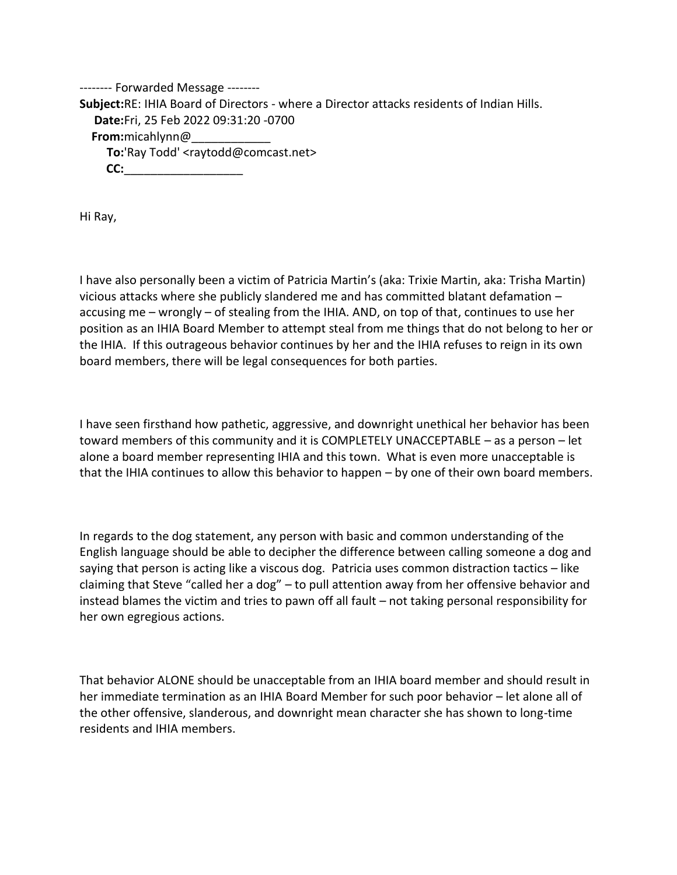-------- Forwarded Message -------- **Subject:** RE: IHIA Board of Directors - where a Director attacks residents of Indian Hills. **Date:** Fri, 25 Feb 2022 09:31:20 -0700 **From:** micahlynn@\_\_\_\_\_\_\_\_\_\_\_\_ **To:** 'Ray Todd' <raytodd@comcast.net> **CC:** \_\_\_\_\_\_\_\_\_\_\_\_\_\_\_\_\_\_

Hi Ray,

I have also personally been a victim of Patricia Martin's (aka: Trixie Martin, aka: Trisha Martin) vicious attacks where she publicly slandered me and has committed blatant defamation – accusing me – wrongly – of stealing from the IHIA. AND, on top of that, continues to use her position as an IHIA Board Member to attempt steal from me things that do not belong to her or the IHIA. If this outrageous behavior continues by her and the IHIA refuses to reign in its own board members, there will be legal consequences for both parties.

I have seen firsthand how pathetic, aggressive, and downright unethical her behavior has been toward members of this community and it is COMPLETELY UNACCEPTABLE – as a person – let alone a board member representing IHIA and this town. What is even more unacceptable is that the IHIA continues to allow this behavior to happen – by one of their own board members.

In regards to the dog statement, any person with basic and common understanding of the English language should be able to decipher the difference between calling someone a dog and saying that person is acting like a viscous dog. Patricia uses common distraction tactics – like claiming that Steve "called her a dog" – to pull attention away from her offensive behavior and instead blames the victim and tries to pawn off all fault – not taking personal responsibility for her own egregious actions.

That behavior ALONE should be unacceptable from an IHIA board member and should result in her immediate termination as an IHIA Board Member for such poor behavior – let alone all of the other offensive, slanderous, and downright mean character she has shown to long-time residents and IHIA members.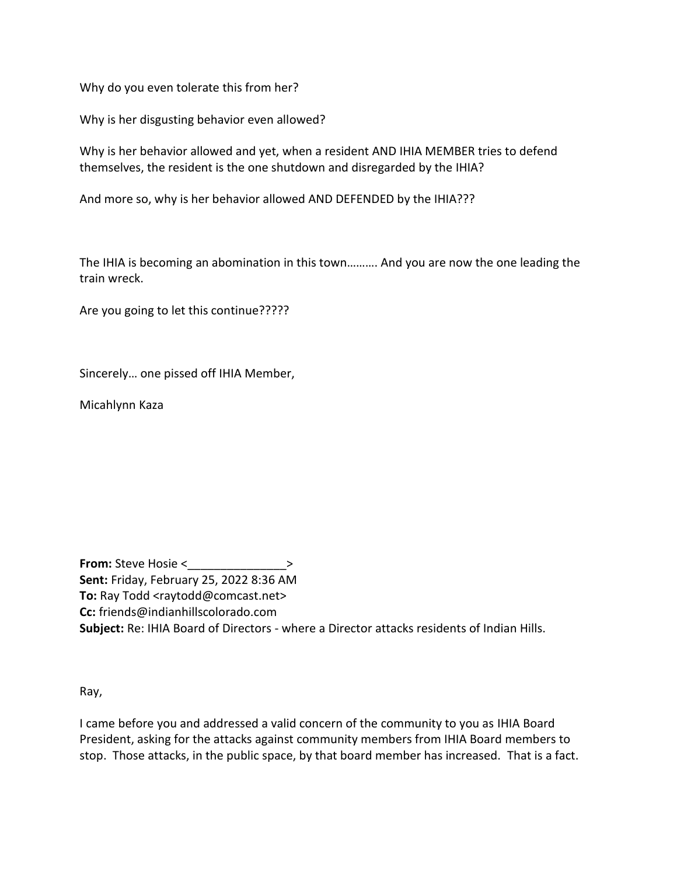Why do you even tolerate this from her?

Why is her disgusting behavior even allowed?

Why is her behavior allowed and yet, when a resident AND IHIA MEMBER tries to defend themselves, the resident is the one shutdown and disregarded by the IHIA?

And more so, why is her behavior allowed AND DEFENDED by the IHIA???

The IHIA is becoming an abomination in this town………. And you are now the one leading the train wreck.

Are you going to let this continue?????

Sincerely… one pissed off IHIA Member,

Micahlynn Kaza

**From:** Steve Hosie <  $\rightarrow$ **Sent:** Friday, February 25, 2022 8:36 AM **To:** Ray Todd <raytodd@comcast.net> **Cc:** friends@indianhillscolorado.com **Subject:** Re: IHIA Board of Directors - where a Director attacks residents of Indian Hills.

Ray,

I came before you and addressed a valid concern of the community to you as IHIA Board President, asking for the attacks against community members from IHIA Board members to stop. Those attacks, in the public space, by that board member has increased. That is a fact.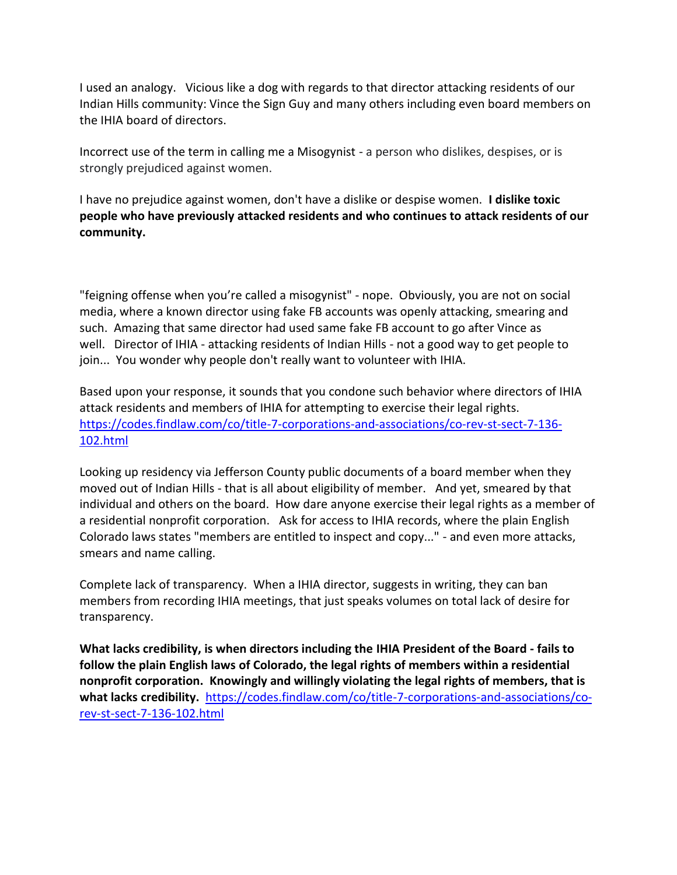I used an analogy. Vicious like a dog with regards to that director attacking residents of our Indian Hills community: Vince the Sign Guy and many others including even board members on the IHIA board of directors.

Incorrect use of the term in calling me a Misogynist - a person who dislikes, despises, or is strongly prejudiced against women.

I have no prejudice against women, don't have a dislike or despise women. **I dislike toxic people who have previously attacked residents and who continues to attack residents of our community.** 

"feigning offense when you're called a misogynist" - nope. Obviously, you are not on social media, where a known director using fake FB accounts was openly attacking, smearing and such. Amazing that same director had used same fake FB account to go after Vince as well. Director of IHIA - attacking residents of Indian Hills - not a good way to get people to join... You wonder why people don't really want to volunteer with IHIA.

Based upon your response, it sounds that you condone such behavior where directors of IHIA attack residents and members of IHIA for attempting to exercise their legal rights. [https://codes.findlaw.com/co/title-7-corporations-and-associations/co-rev-st-sect-7-136-](https://codes.findlaw.com/co/title-7-corporations-and-associations/co-rev-st-sect-7-136-102.html) [102.html](https://codes.findlaw.com/co/title-7-corporations-and-associations/co-rev-st-sect-7-136-102.html)

Looking up residency via Jefferson County public documents of a board member when they moved out of Indian Hills - that is all about eligibility of member. And yet, smeared by that individual and others on the board. How dare anyone exercise their legal rights as a member of a residential nonprofit corporation. Ask for access to IHIA records, where the plain English Colorado laws states "members are entitled to inspect and copy..." - and even more attacks, smears and name calling.

Complete lack of transparency. When a IHIA director, suggests in writing, they can ban members from recording IHIA meetings, that just speaks volumes on total lack of desire for transparency.

**What lacks credibility, is when directors including the IHIA President of the Board - fails to follow the plain English laws of Colorado, the legal rights of members within a residential nonprofit corporation. Knowingly and willingly violating the legal rights of members, that is what lacks credibility.** [https://codes.findlaw.com/co/title-7-corporations-and-associations/co](https://codes.findlaw.com/co/title-7-corporations-and-associations/co-rev-st-sect-7-136-102.html)[rev-st-sect-7-136-102.html](https://codes.findlaw.com/co/title-7-corporations-and-associations/co-rev-st-sect-7-136-102.html)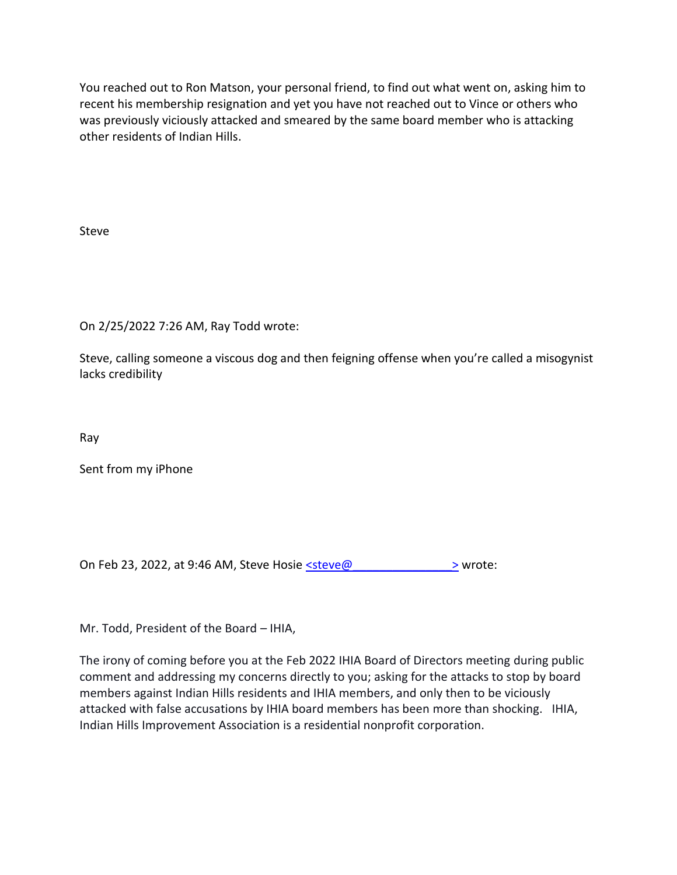You reached out to Ron Matson, your personal friend, to find out what went on, asking him to recent his membership resignation and yet you have not reached out to Vince or others who was previously viciously attacked and smeared by the same board member who is attacking other residents of Indian Hills.

Steve

On 2/25/2022 7:26 AM, Ray Todd wrote:

Steve, calling someone a viscous dog and then feigning offense when you're called a misogynist lacks credibility

Ray

Sent from my iPhone

On Feb 23, 2022, at 9:46 AM, Steve Hosie  $\leq$ steve@  $\geq$  wrote:

Mr. Todd, President of the Board – IHIA,

The irony of coming before you at the Feb 2022 IHIA Board of Directors meeting during public comment and addressing my concerns directly to you; asking for the attacks to stop by board members against Indian Hills residents and IHIA members, and only then to be viciously attacked with false accusations by IHIA board members has been more than shocking. IHIA, Indian Hills Improvement Association is a residential nonprofit corporation.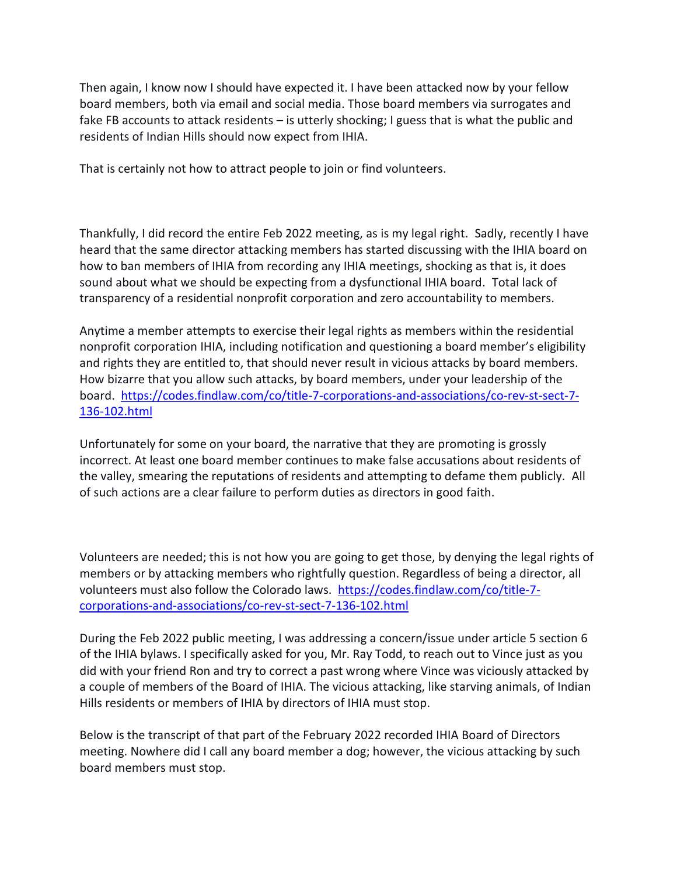Then again, I know now I should have expected it. I have been attacked now by your fellow board members, both via email and social media. Those board members via surrogates and fake FB accounts to attack residents – is utterly shocking; I guess that is what the public and residents of Indian Hills should now expect from IHIA.

That is certainly not how to attract people to join or find volunteers.

Thankfully, I did record the entire Feb 2022 meeting, as is my legal right. Sadly, recently I have heard that the same director attacking members has started discussing with the IHIA board on how to ban members of IHIA from recording any IHIA meetings, shocking as that is, it does sound about what we should be expecting from a dysfunctional IHIA board. Total lack of transparency of a residential nonprofit corporation and zero accountability to members.

Anytime a member attempts to exercise their legal rights as members within the residential nonprofit corporation IHIA, including notification and questioning a board member's eligibility and rights they are entitled to, that should never result in vicious attacks by board members. How bizarre that you allow such attacks, by board members, under your leadership of the board. [https://codes.findlaw.com/co/title-7-corporations-and-associations/co-rev-st-sect-7-](https://codes.findlaw.com/co/title-7-corporations-and-associations/co-rev-st-sect-7-136-102.html) [136-102.html](https://codes.findlaw.com/co/title-7-corporations-and-associations/co-rev-st-sect-7-136-102.html)

Unfortunately for some on your board, the narrative that they are promoting is grossly incorrect. At least one board member continues to make false accusations about residents of the valley, smearing the reputations of residents and attempting to defame them publicly. All of such actions are a clear failure to perform duties as directors in good faith.

Volunteers are needed; this is not how you are going to get those, by denying the legal rights of members or by attacking members who rightfully question. Regardless of being a director, all volunteers must also follow the Colorado laws. [https://codes.findlaw.com/co/title-7](https://codes.findlaw.com/co/title-7-corporations-and-associations/co-rev-st-sect-7-136-102.html) [corporations-and-associations/co-rev-st-sect-7-136-102.html](https://codes.findlaw.com/co/title-7-corporations-and-associations/co-rev-st-sect-7-136-102.html)

During the Feb 2022 public meeting, I was addressing a concern/issue under article 5 section 6 of the IHIA bylaws. I specifically asked for you, Mr. Ray Todd, to reach out to Vince just as you did with your friend Ron and try to correct a past wrong where Vince was viciously attacked by a couple of members of the Board of IHIA. The vicious attacking, like starving animals, of Indian Hills residents or members of IHIA by directors of IHIA must stop.

Below is the transcript of that part of the February 2022 recorded IHIA Board of Directors meeting. Nowhere did I call any board member a dog; however, the vicious attacking by such board members must stop.